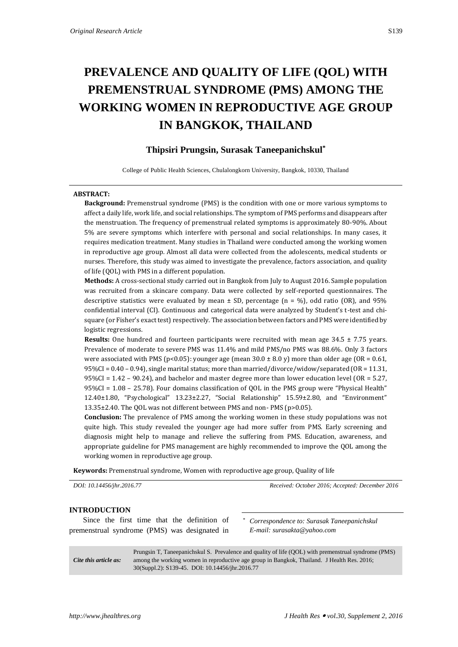# **PREVALENCE AND QUALITY OF LIFE (QOL) WITH PREMENSTRUAL SYNDROME (PMS) AMONG THE WORKING WOMEN IN REPRODUCTIVE AGE GROUP IN BANGKOK, THAILAND**

# **Thipsiri Prungsin, Surasak Taneepanichskul\***

College of Public Health Sciences, Chulalongkorn University, Bangkok, 10330, Thailand

#### **ABSTRACT:**

**Background:** Premenstrual syndrome (PMS) is the condition with one or more various symptoms to affect a daily life, work life, and social relationships. The symptom of PMS performs and disappears after the menstruation. The frequency of premenstrual related symptoms is approximately 80-90%. About 5% are severe symptoms which interfere with personal and social relationships. In many cases, it requires medication treatment. Many studies in Thailand were conducted among the working women in reproductive age group. Almost all data were collected from the adolescents, medical students or nurses. Therefore, this study was aimed to investigate the prevalence, factors association, and quality of life (QOL) with PMS in a different population.

**Methods:** A cross-sectional study carried out in Bangkok from July to August 2016. Sample population was recruited from a skincare company. Data were collected by self-reported questionnaires. The descriptive statistics were evaluated by mean  $\pm$  SD, percentage (n = %), odd ratio (OR), and 95% confidential interval (CI). Continuous and categorical data were analyzed by Student's t-test and chisquare (or Fisher's exact test) respectively. The association between factors and PMS were identified by logistic regressions.

**Results:** One hundred and fourteen participants were recruited with mean age 34.5 ± 7.75 years. Prevalence of moderate to severe PMS was 11.4% and mild PMS/no PMS was 88.6%. Only 3 factors were associated with PMS (p<0.05): younger age (mean  $30.0 \pm 8.0$  y) more than older age (OR = 0.61, 95%CI = 0.40 – 0.94), single marital status; more than married/divorce/widow/separated (OR = 11.31, 95%CI = 1.42 – 90.24), and bachelor and master degree more than lower education level (OR = 5.27, 95%CI = 1.08 – 25.78). Four domains classification of QOL in the PMS group were "Physical Health" 12.40±1.80, "Psychological" 13.23±2.27, "Social Relationship" 15.59±2.80, and "Environment" 13.35±2.40. The QOL was not different between PMS and non- PMS (p>0.05).

**Conclusion:** The prevalence of PMS among the working women in these study populations was not quite high. This study revealed the younger age had more suffer from PMS. Early screening and diagnosis might help to manage and relieve the suffering from PMS. Education, awareness, and appropriate guideline for PMS management are highly recommended to improve the QOL among the working women in reproductive age group.

**Keywords:** Premenstrual syndrome, Women with reproductive age group, Quality of life

*DOI: 10.14456/jhr.2016.77 Received: October 2016; Accepted: December 2016*

# **INTRODUCTION**

Since the first time that the definition of premenstrual syndrome (PMS) was designated in

*\* Correspondence to: Surasak Taneepanichskul E-mail: surasakta@yahoo.com*

*Cite this article as:* Prungsin T, Taneepanichskul S. Prevalence and quality of life (QOL) with premenstrual syndrome (PMS) among the working women in reproductive age group in Bangkok, Thailand. J Health Res. 2016; 30(Suppl.2): S139-45. DOI: 10.14456/jhr.2016.77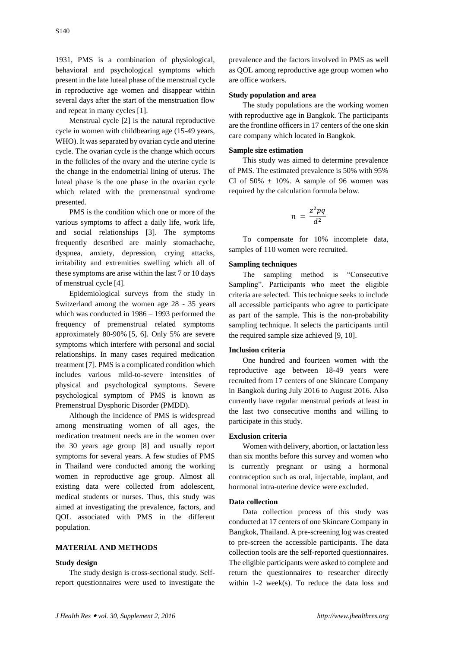1931, PMS is a combination of physiological, behavioral and psychological symptoms which present in the late luteal phase of the menstrual cycle in reproductive age women and disappear within several days after the start of the menstruation flow and repeat in many cycles [1].

Menstrual cycle [2] is the natural reproductive cycle in women with childbearing age (15-49 years, WHO). It was separated by ovarian cycle and uterine cycle. The ovarian cycle is the change which occurs in the follicles of the ovary and the uterine cycle is the change in the endometrial lining of uterus. The luteal phase is the one phase in the ovarian cycle which related with the premenstrual syndrome presented.

PMS is the condition which one or more of the various symptoms to affect a daily life, work life, and social relationships [3]. The symptoms frequently described are mainly stomachache, dyspnea, anxiety, depression, crying attacks, irritability and extremities swelling which all of these symptoms are arise within the last 7 or 10 days of menstrual cycle [4].

Epidemiological surveys from the study in Switzerland among the women age 28 - 35 years which was conducted in 1986 – 1993 performed the frequency of premenstrual related symptoms approximately 80-90% [5, 6]. Only 5% are severe symptoms which interfere with personal and social relationships. In many cases required medication treatment [7]. PMS is a complicated condition which includes various mild-to-severe intensities of physical and psychological symptoms. Severe psychological symptom of PMS is known as Premenstrual Dysphoric Disorder (PMDD).

Although the incidence of PMS is widespread among menstruating women of all ages, the medication treatment needs are in the women over the 30 years age group [8] and usually report symptoms for several years. A few studies of PMS in Thailand were conducted among the working women in reproductive age group. Almost all existing data were collected from adolescent, medical students or nurses. Thus, this study was aimed at investigating the prevalence, factors, and QOL associated with PMS in the different population.

#### **MATERIAL AND METHODS**

#### **Study design**

The study design is cross-sectional study. Selfreport questionnaires were used to investigate the

prevalence and the factors involved in PMS as well as QOL among reproductive age group women who are office workers.

#### **Study population and area**

The study populations are the working women with reproductive age in Bangkok. The participants are the frontline officers in 17 centers of the one skin care company which located in Bangkok.

#### **Sample size estimation**

This study was aimed to determine prevalence of PMS. The estimated prevalence is 50% with 95% CI of  $50\% \pm 10\%$ . A sample of 96 women was required by the calculation formula below.

$$
n = \frac{z^2pq}{d^2}
$$

To compensate for 10% incomplete data, samples of 110 women were recruited.

# **Sampling techniques**

The sampling method is "Consecutive Sampling". Participants who meet the eligible criteria are selected. This technique seeks to include all accessible participants who agree to participate as part of the sample. This is the non-probability sampling technique. It selects the participants until the required sample size achieved [9, 10].

### **Inclusion criteria**

One hundred and fourteen women with the reproductive age between 18-49 years were recruited from 17 centers of one Skincare Company in Bangkok during July 2016 to August 2016. Also currently have regular menstrual periods at least in the last two consecutive months and willing to participate in this study.

#### **Exclusion criteria**

Women with delivery, abortion, or lactation less than six months before this survey and women who is currently pregnant or using a hormonal contraception such as oral, injectable, implant, and hormonal intra-uterine device were excluded.

#### **Data collection**

Data collection process of this study was conducted at 17 centers of one Skincare Company in Bangkok, Thailand. A pre-screening log was created to pre-screen the accessible participants. The data collection tools are the self-reported questionnaires. The eligible participants were asked to complete and return the questionnaires to researcher directly within 1-2 week(s). To reduce the data loss and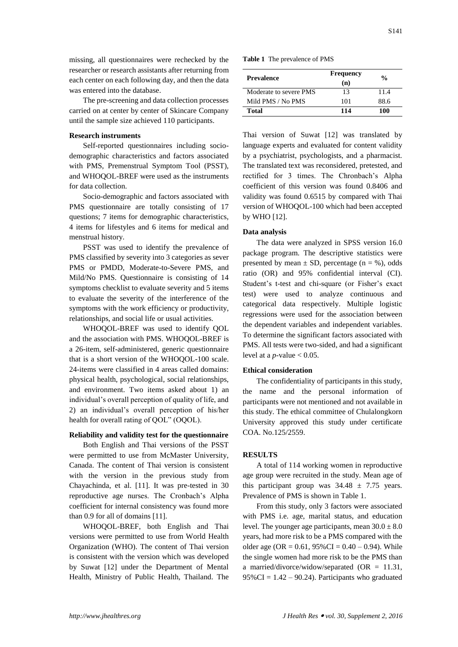missing, all questionnaires were rechecked by the researcher or research assistants after returning from each center on each following day, and then the data was entered into the database.

The pre-screening and data collection processes carried on at center by center of Skincare Company until the sample size achieved 110 participants.

#### **Research instruments**

Self-reported questionnaires including sociodemographic characteristics and factors associated with PMS, Premenstrual Symptom Tool (PSST), and WHOQOL-BREF were used as the instruments for data collection.

Socio-demographic and factors associated with PMS questionnaire are totally consisting of 17 questions; 7 items for demographic characteristics, 4 items for lifestyles and 6 items for medical and menstrual history.

PSST was used to identify the prevalence of PMS classified by severity into 3 categories as sever PMS or PMDD, Moderate-to-Severe PMS, and Mild/No PMS. Questionnaire is consisting of 14 symptoms checklist to evaluate severity and 5 items to evaluate the severity of the interference of the symptoms with the work efficiency or productivity, relationships, and social life or usual activities.

WHOQOL-BREF was used to identify QOL and the association with PMS. WHOQOL-BREF is a 26-item, self-administered, generic questionnaire that is a short version of the WHOQOL-100 scale. 24-items were classified in 4 areas called domains: physical health, psychological, social relationships, and environment. Two items asked about 1) an individual's overall perception of quality of life, and 2) an individual's overall perception of his/her health for overall rating of QOL" (OQOL).

# **Reliability and validity test for the questionnaire**

Both English and Thai versions of the PSST were permitted to use from McMaster University, Canada. The content of Thai version is consistent with the version in the previous study from Chayachinda, et al. [11]. It was pre-tested in 30 reproductive age nurses. The Cronbach's Alpha coefficient for internal consistency was found more than 0.9 for all of domains [11].

WHOQOL-BREF, both English and Thai versions were permitted to use from World Health Organization (WHO). The content of Thai version is consistent with the version which was developed by Suwat [12] under the Department of Mental Health, Ministry of Public Health, Thailand. The

|  |  | <b>Table 1</b> The prevalence of PMS |
|--|--|--------------------------------------|
|--|--|--------------------------------------|

| <b>Prevalence</b>      | <b>Frequency</b><br>(n) | $\frac{0}{0}$ |  |
|------------------------|-------------------------|---------------|--|
| Moderate to severe PMS | 13                      | 11.4          |  |
| Mild PMS / No PMS      | 101                     | 88.6          |  |
| Total                  | 114                     | 100           |  |

Thai version of Suwat [12] was translated by language experts and evaluated for content validity by a psychiatrist, psychologists, and a pharmacist. The translated text was reconsidered, pretested, and rectified for 3 times. The Chronbach's Alpha coefficient of this version was found 0.8406 and validity was found 0.6515 by compared with Thai version of WHOQOL-100 which had been accepted by WHO [12].

#### **Data analysis**

The data were analyzed in SPSS version 16.0 package program. The descriptive statistics were presented by mean  $\pm$  SD, percentage (n = %), odds ratio (OR) and 95% confidential interval (CI). Student's t-test and chi-square (or Fisher's exact test) were used to analyze continuous and categorical data respectively. Multiple logistic regressions were used for the association between the dependent variables and independent variables. To determine the significant factors associated with PMS. All tests were two-sided, and had a significant level at a  $p$ -value  $< 0.05$ .

#### **Ethical consideration**

The confidentiality of participants in this study, the name and the personal information of participants were not mentioned and not available in this study. The ethical committee of Chulalongkorn University approved this study under certificate COA. No.125/2559.

#### **RESULTS**

A total of 114 working women in reproductive age group were recruited in the study. Mean age of this participant group was  $34.48 \pm 7.75$  years. Prevalence of PMS is shown in Table 1.

From this study, only 3 factors were associated with PMS i.e. age, marital status, and education level. The younger age participants, mean  $30.0 \pm 8.0$ years, had more risk to be a PMS compared with the older age (OR =  $0.61$ ,  $95\%$ CI =  $0.40 - 0.94$ ). While the single women had more risk to be the PMS than a married/divorce/widow/separated  $(OR = 11.31,$  $95\%$  CI = 1.42 – 90.24). Participants who graduated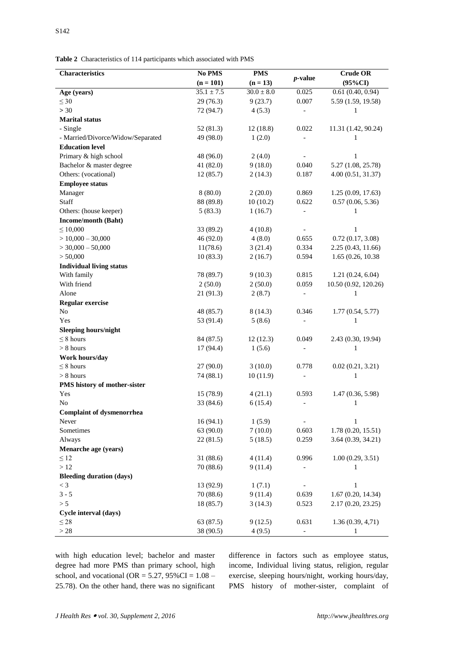**Table 2** Characteristics of 114 participants which associated with PMS

| Characteristics                   | No PMS         | <b>PMS</b>     |                              | <b>Crude OR</b>      |
|-----------------------------------|----------------|----------------|------------------------------|----------------------|
|                                   | $(n = 101)$    | $(n = 13)$     | $p$ -value                   | $(95\%CI)$           |
| Age (years)                       | $35.1 \pm 7.5$ | $30.0 \pm 8.0$ | 0.025                        | 0.61(0.40, 0.94)     |
| $\leq 30$                         | 29(76.3)       | 9(23.7)        | 0.007                        | 5.59 (1.59, 19.58)   |
| > 30                              | 72 (94.7)      | 4(5.3)         |                              | 1                    |
| <b>Marital status</b>             |                |                |                              |                      |
| - Single                          | 52 (81.3)      | 12(18.8)       | 0.022                        | 11.31 (1.42, 90.24)  |
| - Married/Divorce/Widow/Separated | 49 (98.0)      | 1(2.0)         |                              | 1                    |
| <b>Education level</b>            |                |                |                              |                      |
| Primary & high school             | 48 (96.0)      | 2(4.0)         | $\qquad \qquad -$            | 1                    |
| Bachelor & master degree          | 41 (82.0)      | 9(18.0)        | 0.040                        | 5.27 (1.08, 25.78)   |
| Others: (vocational)              | 12(85.7)       | 2(14.3)        | 0.187                        | 4.00 (0.51, 31.37)   |
| <b>Employee status</b>            |                |                |                              |                      |
| Manager                           | 8(80.0)        | 2(20.0)        | 0.869                        | 1.25(0.09, 17.63)    |
| Staff                             | 88 (89.8)      | 10(10.2)       | 0.622                        | 0.57(0.06, 5.36)     |
| Others: (house keeper)            | 5(83.3)        | 1(16.7)        |                              | 1                    |
| Income/month (Baht)               |                |                |                              |                      |
| $\leq 10,000$                     | 33 (89.2)      | 4(10.8)        | $\overline{a}$               | 1                    |
| $>$ 10,000 - 30,000               | 46 (92.0)      | 4(8.0)         | 0.655                        | 0.72(0.17, 3.08)     |
| $>$ 30,000 - 50,000               | 11(78.6)       | 3(21.4)        | 0.334                        | 2.25 (0.43, 11.66)   |
| > 50,000                          | 10(83.3)       | 2(16.7)        | 0.594                        | 1.65 (0.26, 10.38)   |
| <b>Individual living status</b>   |                |                |                              |                      |
| With family                       | 78 (89.7)      | 9(10.3)        | 0.815                        | 1.21(0.24, 6.04)     |
| With friend                       | 2(50.0)        | 2(50.0)        | 0.059                        | 10.50 (0.92, 120.26) |
| Alone                             | 21 (91.3)      | 2(8.7)         | $\qquad \qquad \blacksquare$ | $\mathbf{1}$         |
| <b>Regular exercise</b>           |                |                |                              |                      |
| No                                | 48 (85.7)      | 8(14.3)        | 0.346                        | 1.77(0.54, 5.77)     |
| Yes                               | 53 (91.4)      | 5(8.6)         | $\qquad \qquad \blacksquare$ | 1                    |
| <b>Sleeping hours/night</b>       |                |                |                              |                      |
| $\leq$ 8 hours                    | 84 (87.5)      | 12(12.3)       | 0.049                        | 2.43 (0.30, 19.94)   |
| $> 8$ hours                       | 17 (94.4)      | 1(5.6)         | $\overline{\phantom{0}}$     | $\mathbf{1}$         |
| Work hours/day                    |                |                |                              |                      |
| $\leq 8$ hours                    | 27 (90.0)      | 3(10.0)        | 0.778                        | 0.02(0.21, 3.21)     |
| $> 8$ hours                       | 74 (88.1)      | 10(11.9)       |                              | $\mathbf{1}$         |
| PMS history of mother-sister      |                |                |                              |                      |
| Yes                               | 15 (78.9)      | 4(21.1)        | 0.593                        | 1.47(0.36, 5.98)     |
| No                                | 33 (84.6)      | 6(15.4)        | $\overline{\phantom{0}}$     | 1                    |
| <b>Complaint of dysmenorrhea</b>  |                |                |                              |                      |
| Never                             | 16(94.1)       | 1(5.9)         |                              | $\mathbf{1}$         |
| Sometimes                         | 63 (90.0)      | 7(10.0)        | 0.603                        | 1.78(0.20, 15.51)    |
| Always                            | 22(81.5)       | 5(18.5)        | 0.259                        | 3.64(0.39, 34.21)    |
| Menarche age (years)              |                |                |                              |                      |
| $\leq 12$                         | 31 (88.6)      | 4(11.4)        | 0.996                        | 1.00(0.29, 3.51)     |
| $>12$                             | 70(88.6)       | 9(11.4)        |                              | 1                    |
| <b>Bleeding duration (days)</b>   |                |                |                              |                      |
| $<$ 3                             | 13 (92.9)      | 1(7.1)         |                              | 1                    |
| $3 - 5$                           | 70 (88.6)      | 9(11.4)        | 0.639                        | 1.67(0.20, 14.34)    |
| > 5                               | 18 (85.7)      | 3(14.3)        | 0.523                        | 2.17(0.20, 23.25)    |
| Cycle interval (days)             |                |                |                              |                      |
| $\leq 28$                         | 63 (87.5)      | 9(12.5)        | 0.631                        | 1.36(0.39, 4.71)     |
| $>28$                             | 38 (90.5)      | 4(9.5)         | $\overline{\phantom{0}}$     | $\mathbf{1}$         |

with high education level; bachelor and master degree had more PMS than primary school, high school, and vocational (OR =  $5.27$ ,  $95\%$ CI =  $1.08$  – 25.78). On the other hand, there was no significant

difference in factors such as employee status, income, Individual living status, religion, regular exercise, sleeping hours/night, working hours/day, PMS history of mother-sister, complaint of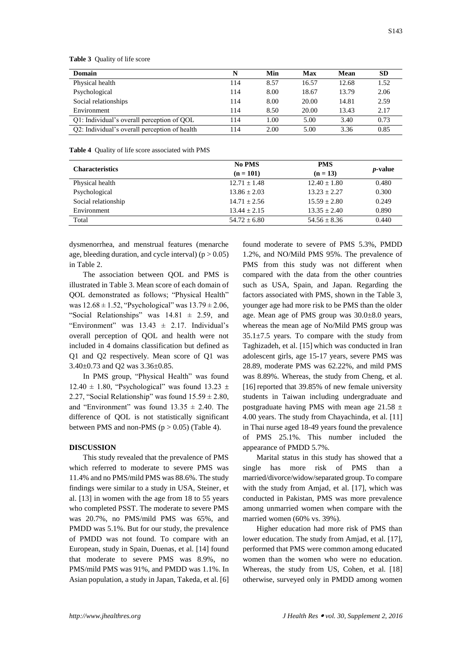| N   | Min  | Max   | Mean  | <b>SD</b> |
|-----|------|-------|-------|-----------|
| 114 | 8.57 | 16.57 | 12.68 | 1.52      |
| 114 | 8.00 | 18.67 | 13.79 | 2.06      |
| 114 | 8.00 | 20.00 | 14.81 | 2.59      |
| 114 | 8.50 | 20.00 | 13.43 | 2.17      |
| 114 | 1.00 | 5.00  | 3.40  | 0.73      |
| 114 | 2.00 | 5.00  | 3.36  | 0.85      |
|     |      |       |       |           |

**Table 3** Quality of life score

**Table 4** Quality of life score associated with PMS

| <b>Characteristics</b> | <b>No PMS</b><br>$(n = 101)$ | <b>PMS</b><br>$(n = 13)$ | <i>p</i> -value |
|------------------------|------------------------------|--------------------------|-----------------|
| Physical health        | $12.71 + 1.48$               | $12.40 + 1.80$           | 0.480           |
| Psychological          | $13.86 + 2.03$               | $13.23 + 2.27$           | 0.300           |
| Social relationship    | $14.71 + 2.56$               | $15.59 + 2.80$           | 0.249           |
| Environment            | $13.44 + 2.15$               | $13.35 + 2.40$           | 0.890           |
| Total                  | $54.72 + 6.80$               | $54.56 \pm 8.36$         | 0.440           |

dysmenorrhea, and menstrual features (menarche age, bleeding duration, and cycle interval)  $(p > 0.05)$ in Table 2.

The association between QOL and PMS is illustrated in Table 3. Mean score of each domain of QOL demonstrated as follows; "Physical Health" was  $12.68 \pm 1.52$ , "Psychological" was  $13.79 \pm 2.06$ , "Social Relationships" was  $14.81 \pm 2.59$ , and "Environment" was  $13.43 \pm 2.17$ . Individual's overall perception of QOL and health were not included in 4 domains classification but defined as Q1 and Q2 respectively. Mean score of Q1 was 3.40±0.73 and Q2 was 3.36±0.85.

In PMS group, "Physical Health" was found 12.40  $\pm$  1.80, "Psychological" was found 13.23  $\pm$ 2.27, "Social Relationship" was found  $15.59 \pm 2.80$ , and "Environment" was found  $13.35 \pm 2.40$ . The difference of QOL is not statistically significant between PMS and non-PMS ( $p > 0.05$ ) (Table 4).

#### **DISCUSSION**

This study revealed that the prevalence of PMS which referred to moderate to severe PMS was 11.4% and no PMS/mild PMS was 88.6%. The study findings were similar to a study in USA, Steiner, et al. [13] in women with the age from 18 to 55 years who completed PSST. The moderate to severe PMS was 20.7%, no PMS/mild PMS was 65%, and PMDD was 5.1%. But for our study, the prevalence of PMDD was not found. To compare with an European, study in Spain, Duenas, et al. [14] found that moderate to severe PMS was 8.9%, no PMS/mild PMS was 91%, and PMDD was 1.1%. In Asian population, a study in Japan, Takeda, et al. [6] found moderate to severe of PMS 5.3%, PMDD 1.2%, and NO/Mild PMS 95%. The prevalence of PMS from this study was not different when compared with the data from the other countries such as USA, Spain, and Japan. Regarding the factors associated with PMS, shown in the Table 3, younger age had more risk to be PMS than the older age. Mean age of PMS group was 30.0±8.0 years, whereas the mean age of No/Mild PMS group was  $35.1\pm7.5$  years. To compare with the study from Taghizadeh, et al. [15] which was conducted in Iran adolescent girls, age 15-17 years, severe PMS was 28.89, moderate PMS was 62.22%, and mild PMS was 8.89%. Whereas, the study from Cheng, et al. [16] reported that 39.85% of new female university students in Taiwan including undergraduate and postgraduate having PMS with mean age 21.58  $\pm$ 4.00 years. The study from Chayachinda, et al. [11] in Thai nurse aged 18-49 years found the prevalence of PMS 25.1%. This number included the appearance of PMDD 5.7%.

Marital status in this study has showed that a single has more risk of PMS than a married/divorce/widow/separated group. To compare with the study from Amjad, et al. [17], which was conducted in Pakistan, PMS was more prevalence among unmarried women when compare with the married women (60% vs. 39%).

Higher education had more risk of PMS than lower education. The study from Amjad, et al. [17], performed that PMS were common among educated women than the women who were no education. Whereas, the study from US, Cohen, et al. [18] otherwise, surveyed only in PMDD among women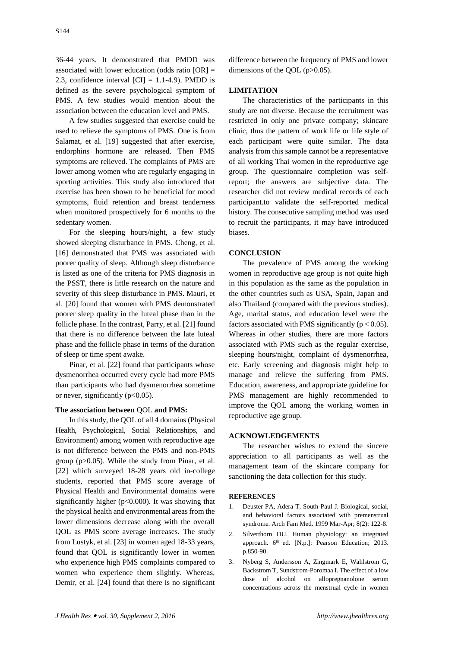36-44 years. It demonstrated that PMDD was associated with lower education (odds ratio [OR] = 2.3, confidence interval  $\text{[CI]} = 1.1-4.9$ ). PMDD is defined as the severe psychological symptom of PMS. A few studies would mention about the association between the education level and PMS.

A few studies suggested that exercise could be used to relieve the symptoms of PMS. One is from Salamat, et al. [19] suggested that after exercise, endorphins hormone are released. Then PMS symptoms are relieved. The complaints of PMS are lower among women who are regularly engaging in sporting activities. This study also introduced that exercise has been shown to be beneficial for mood symptoms, fluid retention and breast tenderness when monitored prospectively for 6 months to the sedentary women.

For the sleeping hours/night, a few study showed sleeping disturbance in PMS. Cheng, et al. [16] demonstrated that PMS was associated with poorer quality of sleep. Although sleep disturbance is listed as one of the criteria for PMS diagnosis in the PSST, there is little research on the nature and severity of this sleep disturbance in PMS. Mauri, et al. [20] found that women with PMS demonstrated poorer sleep quality in the luteal phase than in the follicle phase. In the contrast, Parry, et al. [21] found that there is no difference between the late luteal phase and the follicle phase in terms of the duration of sleep or time spent awake.

Pinar, et al. [22] found that participants whose dysmenorrhea occurred every cycle had more PMS than participants who had dysmenorrhea sometime or never, significantly  $(p<0.05)$ .

# **The association between** QOL **and PMS:**

In this study, the QOL of all 4 domains (Physical Health, Psychological, Social Relationships, and Environment) among women with reproductive age is not difference between the PMS and non-PMS group (p>0.05). While the study from Pinar, et al. [22] which surveyed 18-28 years old in-college students, reported that PMS score average of Physical Health and Environmental domains were significantly higher ( $p<0.000$ ). It was showing that the physical health and environmental areas from the lower dimensions decrease along with the overall QOL as PMS score average increases. The study from Lustyk, et al. [23] in women aged 18-33 years, found that QOL is significantly lower in women who experience high PMS complaints compared to women who experience them slightly. Whereas, Demir, et al. [24] found that there is no significant

difference between the frequency of PMS and lower dimensions of the QOL (p>0.05).

# **LIMITATION**

The characteristics of the participants in this study are not diverse. Because the recruitment was restricted in only one private company; skincare clinic, thus the pattern of work life or life style of each participant were quite similar. The data analysis from this sample cannot be a representative of all working Thai women in the reproductive age group. The questionnaire completion was selfreport; the answers are subjective data. The researcher did not review medical records of each participant.to validate the self-reported medical history. The consecutive sampling method was used to recruit the participants, it may have introduced biases.

#### **CONCLUSION**

The prevalence of PMS among the working women in reproductive age group is not quite high in this population as the same as the population in the other countries such as USA, Spain, Japan and also Thailand (compared with the previous studies). Age, marital status, and education level were the factors associated with PMS significantly ( $p < 0.05$ ). Whereas in other studies, there are more factors associated with PMS such as the regular exercise, sleeping hours/night, complaint of dysmenorrhea, etc. Early screening and diagnosis might help to manage and relieve the suffering from PMS. Education, awareness, and appropriate guideline for PMS management are highly recommended to improve the QOL among the working women in reproductive age group.

#### **ACKNOWLEDGEMENTS**

The researcher wishes to extend the sincere appreciation to all participants as well as the management team of the skincare company for sanctioning the data collection for this study.

#### **REFERENCES**

- 1. Deuster PA, Adera T, South-Paul J. Biological, social, and behavioral factors associated with premenstrual syndrome. Arch Fam Med. 1999 Mar-Apr; 8(2): 122-8.
- 2. Silverthorn DU. Human physiology: an integrated approach. 6<sup>th</sup> ed. [N.p.]: Pearson Education; 2013. p.850-90.
- 3. Nyberg S, Andersson A, Zingmark E, Wahlstrom G, Backstrom T, Sundstrom-Poromaa I. The effect of a low dose of alcohol on allopregnanolone serum concentrations across the menstrual cycle in women